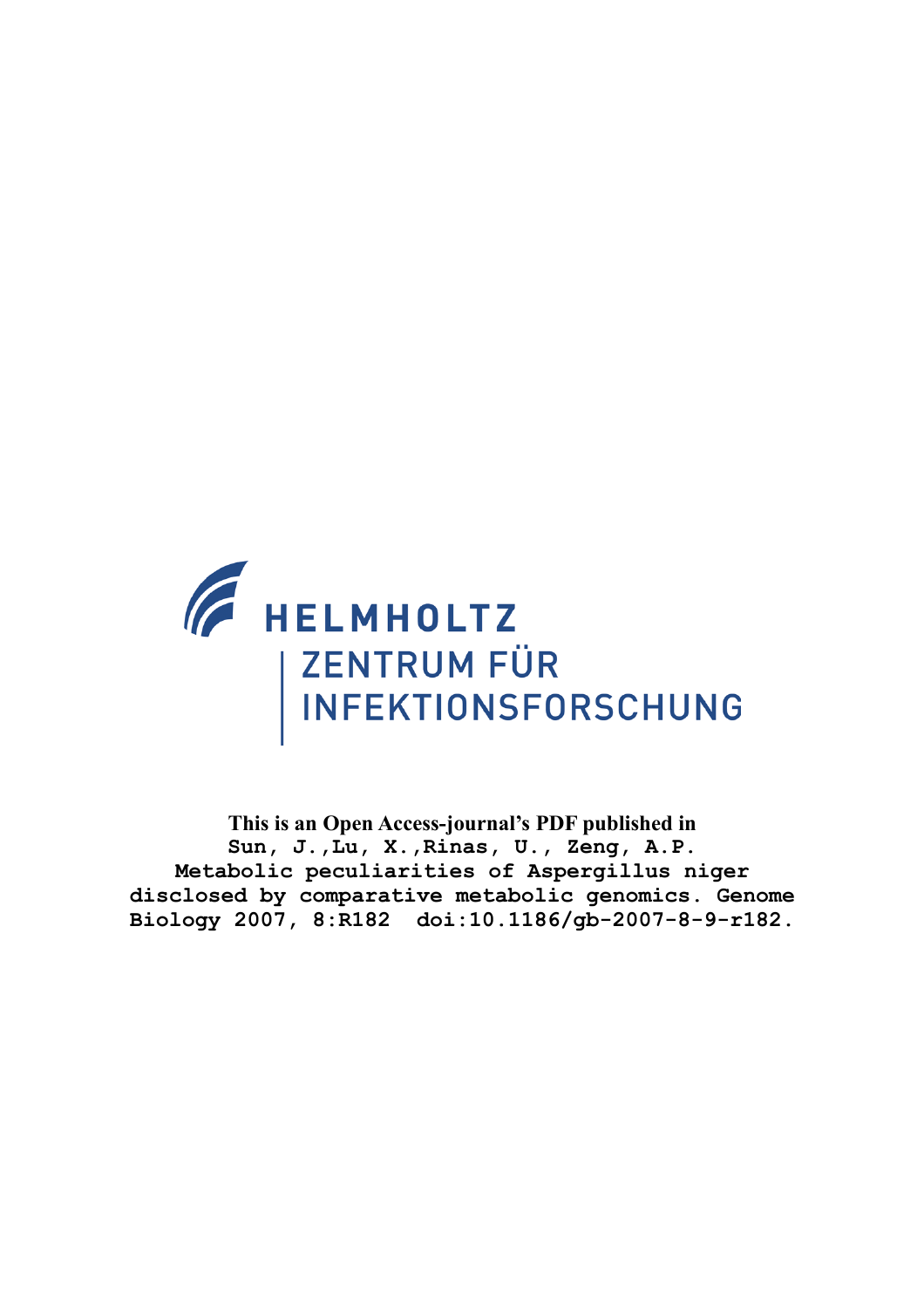

**This is an Open Access-journal's PDF published in Sun, J.,Lu, X.,Rinas, U., Zeng, A.P. Metabolic peculiarities of Aspergillus niger disclosed by comparative metabolic genomics. Genome Biology 2007, 8:R182 doi:10.1186/gb-2007-8-9-r182.**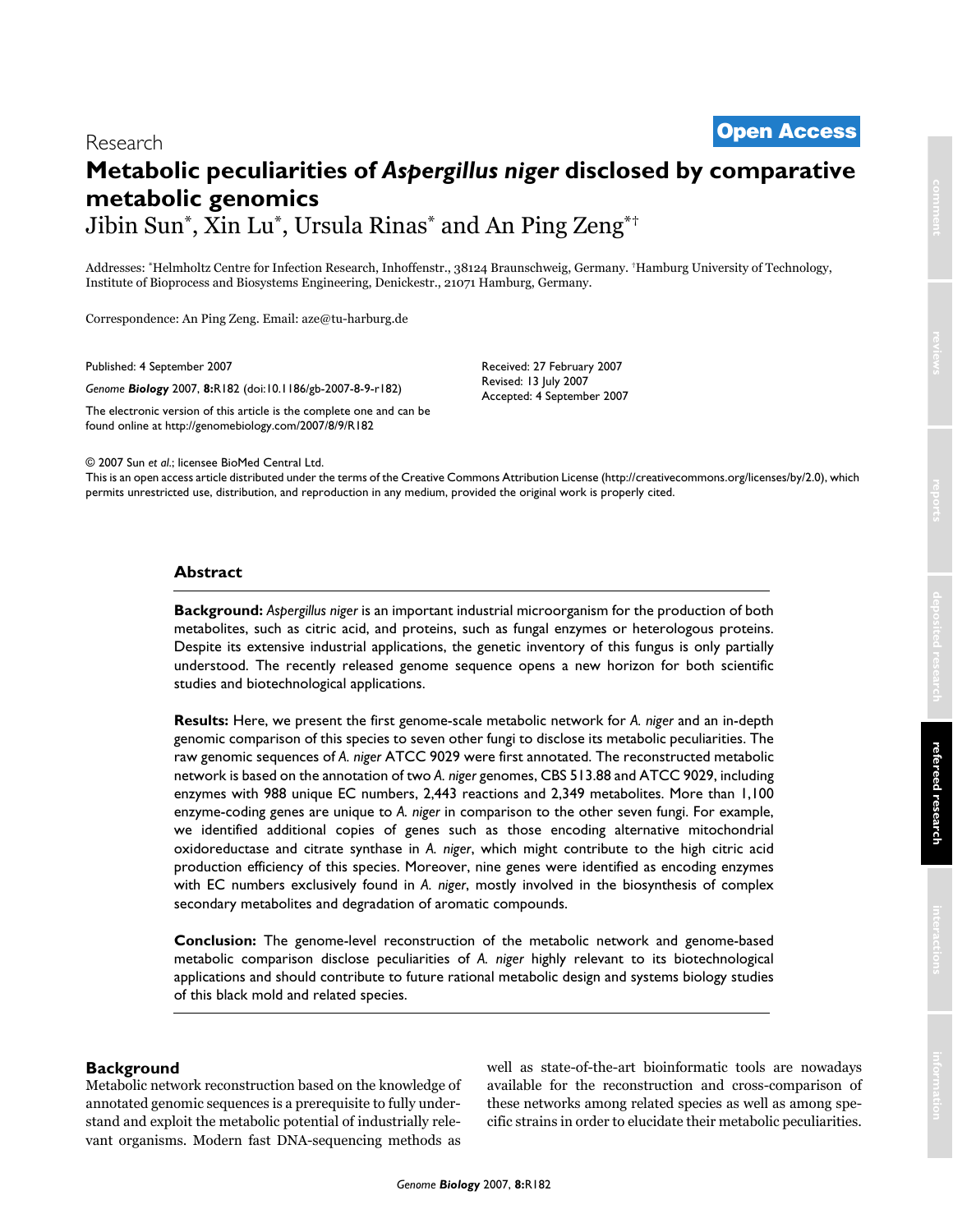# <sup>2007</sup> Sun et al. Volume 8, Issue 9, Article R182 **[Open Access](http://www.biomedcentral.com/info/about/charter/)** Research

# **Metabolic peculiarities of** *Aspergillus niger* **disclosed by comparative metabolic genomics** Jibin Sun\*, Xin Lu\*, Ursula Rinas\* and An Ping Zeng\*†

Addresses: \*Helmholtz Centre for Infection Research, Inhoffenstr., 38124 Braunschweig, Germany. †Hamburg University of Technology, Institute of Bioprocess and Biosystems Engineering, Denickestr., 21071 Hamburg, Germany.

Correspondence: An Ping Zeng. Email: aze@tu-harburg.de

Published: 4 September 2007

*Genome Biology* 2007, **8:**R182 (doi:10.1186/gb-2007-8-9-r182)

[The electronic version of this article is the complete one and can be](http://genomebiology.com/2007/8/9/R182)  found online at http://genomebiology.com/2007/8/9/R182

Received: 27 February 2007 Revised: 13 July 2007 Accepted: 4 September 2007

© 2007 Sun *et al*.; licensee BioMed Central Ltd.

[This is an open access article distributed under the terms of the Creative Commons Attribution License \(http://creativecommons.org/licenses/by/2.0\), which](http://creativecommons.org/licenses/by/2.0)  permits unrestricted use, distribution, and reproduction in any medium, provided the original work is properly cited.

### **Abstract**

**Background:** *Aspergillus niger* is an important industrial microorganism for the production of both metabolites, such as citric acid, and proteins, such as fungal enzymes or heterologous proteins. Despite its extensive industrial applications, the genetic inventory of this fungus is only partially understood. The recently released genome sequence opens a new horizon for both scientific studies and biotechnological applications.

**Results:** Here, we present the first genome-scale metabolic network for *A. niger* and an in-depth genomic comparison of this species to seven other fungi to disclose its metabolic peculiarities. The raw genomic sequences of *A. niger* ATCC 9029 were first annotated. The reconstructed metabolic network is based on the annotation of two *A. niger* genomes, CBS 513.88 and ATCC 9029, including enzymes with 988 unique EC numbers, 2,443 reactions and 2,349 metabolites. More than 1,100 enzyme-coding genes are unique to *A. niger* in comparison to the other seven fungi. For example, we identified additional copies of genes such as those encoding alternative mitochondrial oxidoreductase and citrate synthase in *A. niger*, which might contribute to the high citric acid production efficiency of this species. Moreover, nine genes were identified as encoding enzymes with EC numbers exclusively found in *A. niger*, mostly involved in the biosynthesis of complex secondary metabolites and degradation of aromatic compounds.

**Conclusion:** The genome-level reconstruction of the metabolic network and genome-based metabolic comparison disclose peculiarities of *A. niger* highly relevant to its biotechnological applications and should contribute to future rational metabolic design and systems biology studies of this black mold and related species.

### **Background**

Metabolic network reconstruction based on the knowledge of annotated genomic sequences is a prerequisite to fully understand and exploit the metabolic potential of industrially relevant organisms. Modern fast DNA-sequencing methods as well as state-of-the-art bioinformatic tools are nowadays available for the reconstruction and cross-comparison of these networks among related species as well as among specific strains in order to elucidate their metabolic peculiarities.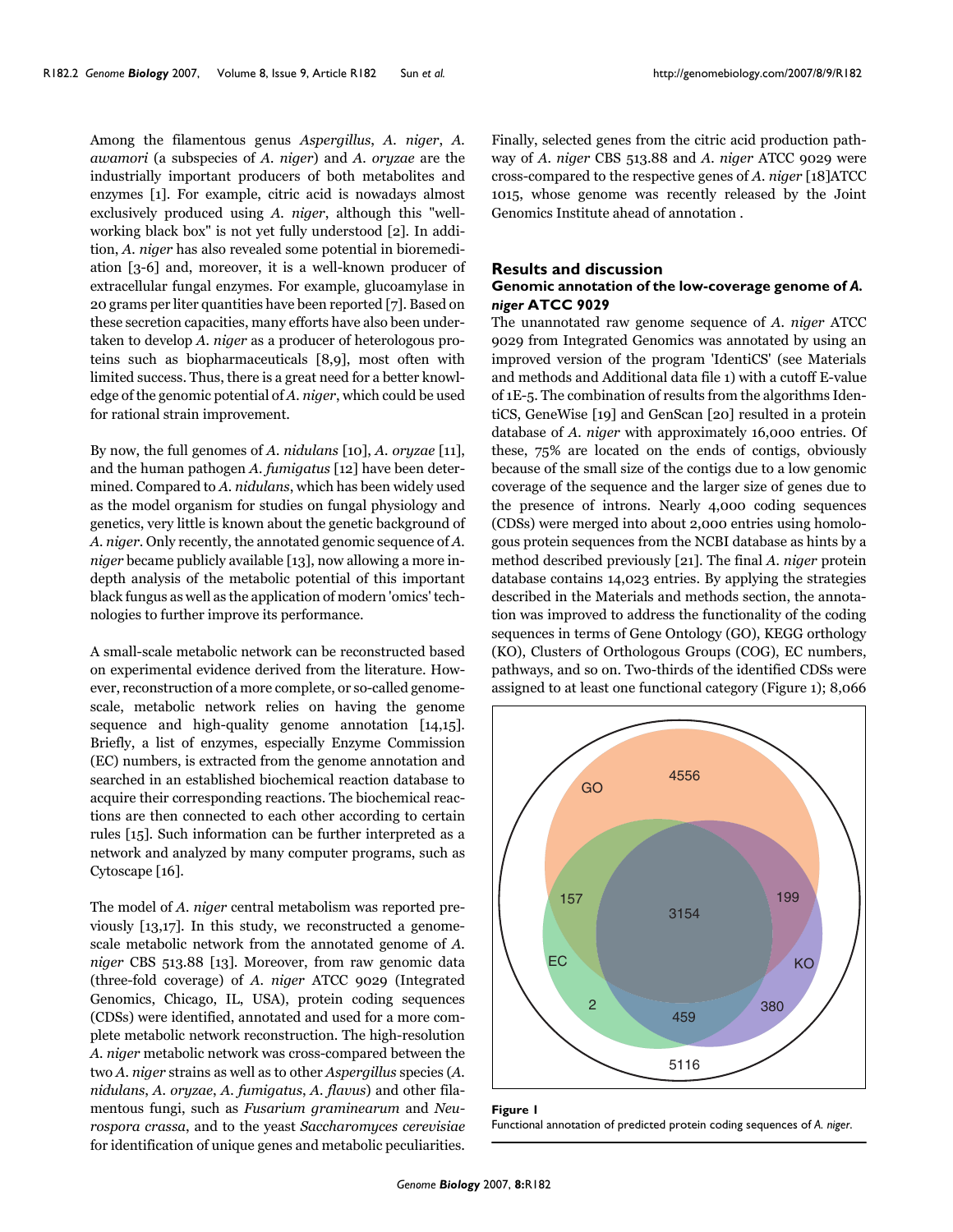Finally, selected genes from the citric acid production pathway of *A. niger* CBS 513.88 and *A. niger* ATCC 9029 were cross-compared to the respective genes of *A. niger* [18]ATCC 1015, whose genome was recently released by the Joint

### **Results and discussion**

Genomics Institute ahead of annotation .

### **Genomic annotation of the low-coverage genome of** *A. niger* **ATCC 9029**

The unannotated raw genome sequence of *A. niger* ATCC 9029 from Integrated Genomics was annotated by using an improved version of the program 'IdentiCS' (see Materials and methods and Additional data file 1) with a cutoff E-value of 1E-5. The combination of results from the algorithms IdentiCS, GeneWise [19] and GenScan [20] resulted in a protein database of *A. niger* with approximately 16,000 entries. Of these, 75% are located on the ends of contigs, obviously because of the small size of the contigs due to a low genomic coverage of the sequence and the larger size of genes due to the presence of introns. Nearly 4,000 coding sequences (CDSs) were merged into about 2,000 entries using homologous protein sequences from the NCBI database as hints by a method described previously [21]. The final *A. niger* protein database contains 14,023 entries. By applying the strategies described in the Materials and methods section, the annotation was improved to address the functionality of the coding sequences in terms of Gene Ontology (GO), KEGG orthology (KO), Clusters of Orthologous Groups (COG), EC numbers, pathways, and so on. Two-thirds of the identified CDSs were assigned to at least one functional category (Figure 1); 8,066



| Figure I                                                                 |  |
|--------------------------------------------------------------------------|--|
| Functional annotation of predicted protein coding sequences of A. niger. |  |

Among the filamentous genus *Aspergillus*, *A. niger*, *A. awamori* (a subspecies of *A. niger*) and *A. oryzae* are the industrially important producers of both metabolites and enzymes [1]. For example, citric acid is nowadays almost exclusively produced using *A. niger*, although this "wellworking black box" is not yet fully understood [\[2](#page-12-0)]. In addition, *A. niger* has also revealed some potential in bioremediation [3-6] and, moreover, it is a well-known producer of extracellular fungal enzymes. For example, glucoamylase in 20 grams per liter quantities have been reported [7]. Based on these secretion capacities, many efforts have also been undertaken to develop *A. niger* as a producer of heterologous proteins such as biopharmaceuticals [8,9], most often with limited success. Thus, there is a great need for a better knowledge of the genomic potential of *A. niger*, which could be used for rational strain improvement.

By now, the full genomes of *A. nidulans* [10], *A. oryzae* [11], and the human pathogen *A. fumigatus* [12] have been determined. Compared to *A. nidulans*, which has been widely used as the model organism for studies on fungal physiology and genetics, very little is known about the genetic background of *A. niger*. Only recently, the annotated genomic sequence of *A. niger* became publicly available [13], now allowing a more indepth analysis of the metabolic potential of this important black fungus as well as the application of modern 'omics' technologies to further improve its performance.

A small-scale metabolic network can be reconstructed based on experimental evidence derived from the literature. However, reconstruction of a more complete, or so-called genomescale, metabolic network relies on having the genome sequence and high-quality genome annotation [14,15]. Briefly, a list of enzymes, especially Enzyme Commission (EC) numbers, is extracted from the genome annotation and searched in an established biochemical reaction database to acquire their corresponding reactions. The biochemical reactions are then connected to each other according to certain rules [15]. Such information can be further interpreted as a network and analyzed by many computer programs, such as Cytoscape [16].

The model of *A. niger* central metabolism was reported previously [13,17]. In this study, we reconstructed a genomescale metabolic network from the annotated genome of *A. niger* CBS 513.88 [13]. Moreover, from raw genomic data (three-fold coverage) of *A. niger* ATCC 9029 (Integrated Genomics, Chicago, IL, USA), protein coding sequences (CDSs) were identified, annotated and used for a more complete metabolic network reconstruction. The high-resolution *A. niger* metabolic network was cross-compared between the two *A. niger* strains as well as to other *Aspergillus* species (*A. nidulans*, *A. oryzae*, *A. fumigatus*, *A. flavus*) and other filamentous fungi, such as *Fusarium graminearum* and *Neurospora crassa*, and to the yeast *Saccharomyces cerevisiae* for identification of unique genes and metabolic peculiarities.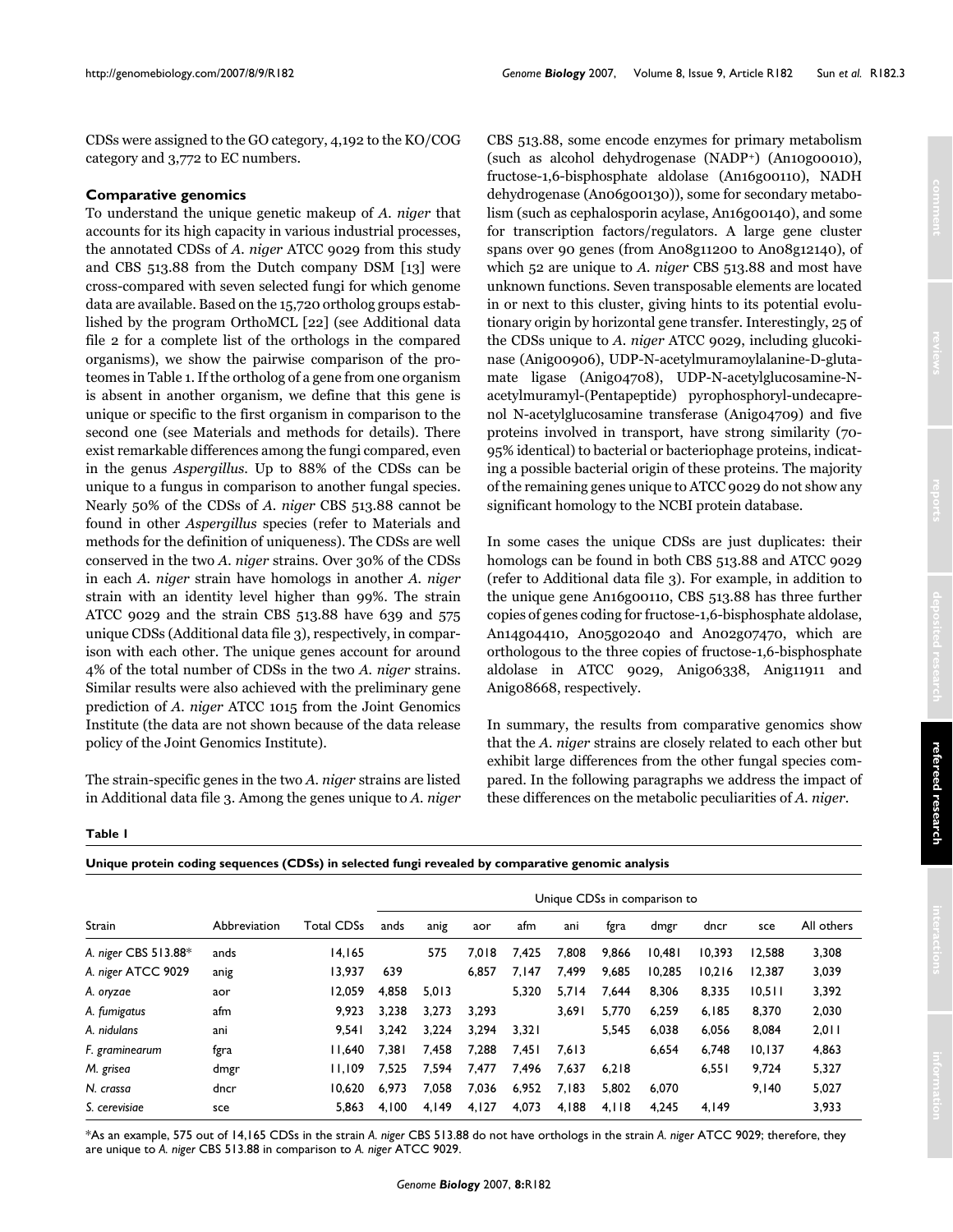CDSs were assigned to the GO category, 4,192 to the KO/COG category and 3,772 to EC numbers.

### **Comparative genomics**

To understand the unique genetic makeup of *A. niger* that accounts for its high capacity in various industrial processes, the annotated CDSs of *A. niger* ATCC 9029 from this study and CBS 513.88 from the Dutch company DSM [13] were cross-compared with seven selected fungi for which genome data are available. Based on the 15,720 ortholog groups established by the program OrthoMCL [22] (see Additional data file 2 for a complete list of the orthologs in the compared organisms), we show the pairwise comparison of the proteomes in Table [1.](#page-3-0) If the ortholog of a gene from one organism is absent in another organism, we define that this gene is unique or specific to the first organism in comparison to the second one (see Materials and methods for details). There exist remarkable differences among the fungi compared, even in the genus *Aspergillus*. Up to 88% of the CDSs can be unique to a fungus in comparison to another fungal species. Nearly 50% of the CDSs of *A. niger* CBS 513.88 cannot be found in other *Aspergillus* species (refer to Materials and methods for the definition of uniqueness). The CDSs are well conserved in the two *A. niger* strains. Over 30% of the CDSs in each *A. niger* strain have homologs in another *A. niger* strain with an identity level higher than 99%. The strain ATCC 9029 and the strain CBS 513.88 have 639 and 575 unique CDSs (Additional data file 3), respectively, in comparison with each other. The unique genes account for around 4% of the total number of CDSs in the two *A. niger* strains. Similar results were also achieved with the preliminary gene prediction of *A. niger* ATCC 1015 from the Joint Genomics Institute (the data are not shown because of the data release policy of the Joint Genomics Institute).

The strain-specific genes in the two *A. niger* strains are listed in Additional data file 3. Among the genes unique to *A. niger*

CBS 513.88, some encode enzymes for primary metabolism (such as alcohol dehydrogenase (NADP+) (An10g00010), fructose-1,6-bisphosphate aldolase (An16g00110), NADH dehydrogenase (An06g00130)), some for secondary metabolism (such as cephalosporin acylase, An16g00140), and some for transcription factors/regulators. A large gene cluster spans over 90 genes (from An08g11200 to An08g12140), of which 52 are unique to *A. niger* CBS 513.88 and most have unknown functions. Seven transposable elements are located in or next to this cluster, giving hints to its potential evolutionary origin by horizontal gene transfer. Interestingly, 25 of the CDSs unique to *A. niger* ATCC 9029, including glucokinase (Anig00906), UDP-N-acetylmuramoylalanine-D-glutamate ligase (Anig04708), UDP-N-acetylglucosamine-Nacetylmuramyl-(Pentapeptide) pyrophosphoryl-undecaprenol N-acetylglucosamine transferase (Anig04709) and five proteins involved in transport, have strong similarity (70- 95% identical) to bacterial or bacteriophage proteins, indicating a possible bacterial origin of these proteins. The majority of the remaining genes unique to ATCC 9029 do not show any significant homology to the NCBI protein database.

In some cases the unique CDSs are just duplicates: their homologs can be found in both CBS 513.88 and ATCC 9029 (refer to Additional data file 3). For example, in addition to the unique gene An16g00110, CBS 513.88 has three further copies of genes coding for fructose-1,6-bisphosphate aldolase, An14g04410, An05g02040 and An02g07470, which are orthologous to the three copies of fructose-1,6-bisphosphate aldolase in ATCC 9029, Anig06338, Anig11911 and Anig08668, respectively.

In summary, the results from comparative genomics show that the *A. niger* strains are closely related to each other but exhibit large differences from the other fungal species compared. In the following paragraphs we address the impact of these differences on the metabolic peculiarities of *A. niger*.

<span id="page-3-0"></span>**Table 1**

|  |  |  | Unique protein coding sequences (CDSs) in selected fungi revealed by comparative genomic analysis |
|--|--|--|---------------------------------------------------------------------------------------------------|
|  |  |  |                                                                                                   |

|                      |              |                   | Unique CDSs in comparison to |       |       |       |       |       |        |        |        |            |
|----------------------|--------------|-------------------|------------------------------|-------|-------|-------|-------|-------|--------|--------|--------|------------|
| <b>Strain</b>        | Abbreviation | <b>Total CDSs</b> | ands                         | anig  | aor   | afm   | ani   | fgra  | dmgr   | dncr   | sce    | All others |
| A. niger CBS 513.88* | ands         | 14.165            |                              | 575   | 7.018 | 7.425 | 7,808 | 9,866 | 10,481 | 10.393 | 12.588 | 3,308      |
| A. niger ATCC 9029   | anig         | 13.937            | 639                          |       | 6.857 | 7.147 | 7,499 | 9,685 | 10.285 | 10.216 | 12.387 | 3,039      |
| A. oryzae            | aor          | 12.059            | 4,858                        | 5,013 |       | 5.320 | 5,714 | 7,644 | 8,306  | 8,335  | 10.511 | 3,392      |
| A. fumigatus         | afm          | 9.923             | 3,238                        | 3,273 | 3,293 |       | 3.691 | 5,770 | 6,259  | 6.185  | 8,370  | 2,030      |
| A. nidulans          | ani          | 9.541             | 3.242                        | 3.224 | 3.294 | 3,321 |       | 5.545 | 6,038  | 6,056  | 8.084  | 2,011      |
| F. graminearum       | fgra         | 11.640            | 7.381                        | 7,458 | 7.288 | 7,451 | 7,613 |       | 6.654  | 6.748  | 10.137 | 4,863      |
| M. grisea            | dmgr         | 11.109            | 7.525                        | 7.594 | 7,477 | 7.496 | 7,637 | 6.218 |        | 6.551  | 9.724  | 5,327      |
| N. crassa            | dncr         | 10.620            | 6.973                        | 7,058 | 7,036 | 6,952 | 7,183 | 5,802 | 6,070  |        | 9.140  | 5,027      |
| S. cerevisiae        | sce          | 5,863             | 4.100                        | 4,149 | 4,127 | 4,073 | 4,188 | 4,118 | 4.245  | 4,149  |        | 3,933      |

\*As an example, 575 out of 14,165 CDSs in the strain *A. niger* CBS 513.88 do not have orthologs in the strain *A. niger* ATCC 9029; therefore, they are unique to *A. niger* CBS 513.88 in comparison to *A. niger* ATCC 9029.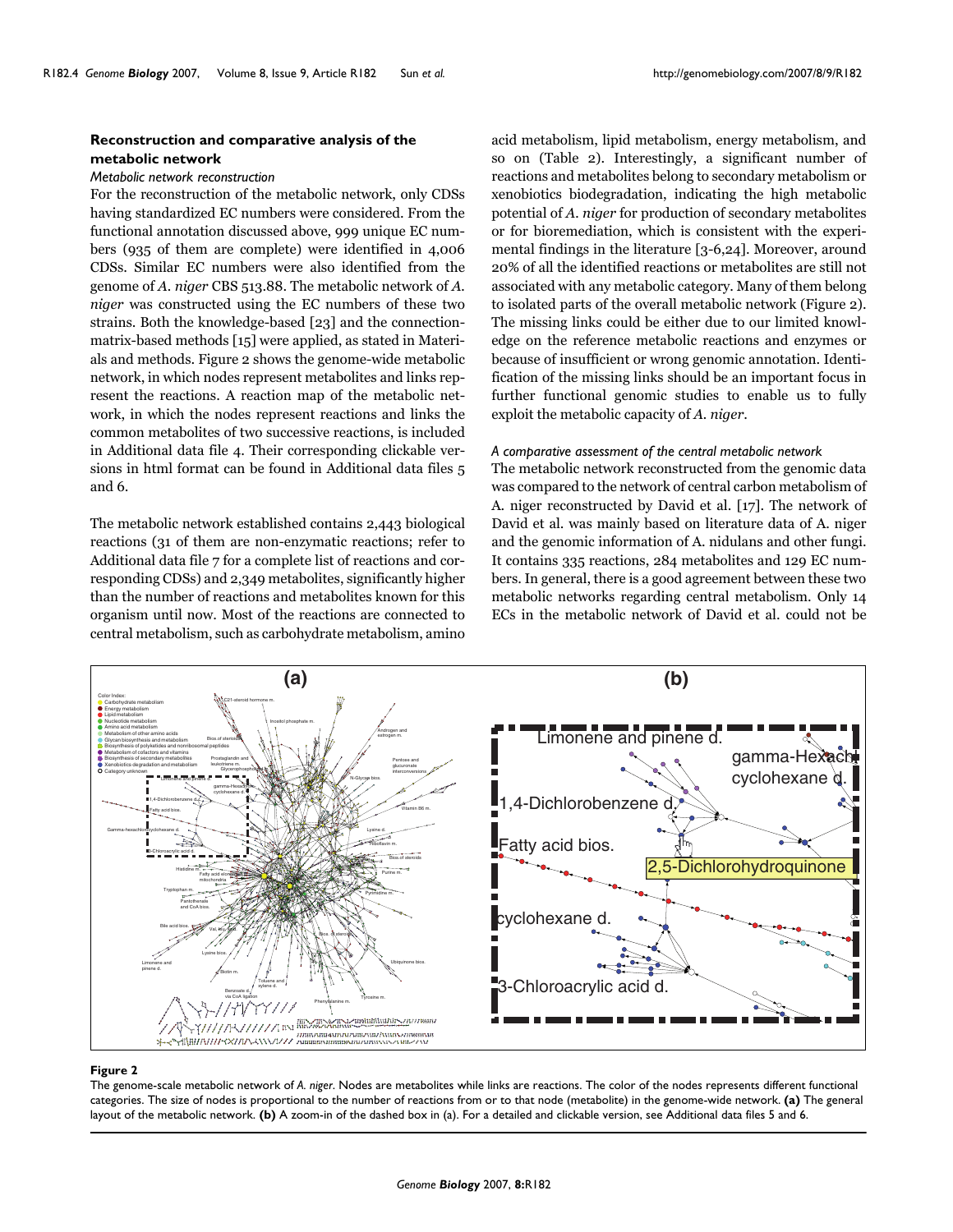### **Reconstruction and comparative analysis of the metabolic network**

#### *Metabolic network reconstruction*

For the reconstruction of the metabolic network, only CDSs having standardized EC numbers were considered. From the functional annotation discussed above, 999 unique EC numbers (935 of them are complete) were identified in 4,006 CDSs. Similar EC numbers were also identified from the genome of *A. niger* CBS 513.88. The metabolic network of *A. niger* was constructed using the EC numbers of these two strains. Both the knowledge-based [23] and the connectionmatrix-based methods [15] were applied, as stated in Materials and methods. Figure 2 shows the genome-wide metabolic network, in which nodes represent metabolites and links represent the reactions. A reaction map of the metabolic network, in which the nodes represent reactions and links the common metabolites of two successive reactions, is included in Additional data file 4. Their corresponding clickable versions in html format can be found in Additional data files 5 and 6.

The metabolic network established contains 2,443 biological reactions (31 of them are non-enzymatic reactions; refer to Additional data file 7 for a complete list of reactions and corresponding CDSs) and 2,349 metabolites, significantly higher than the number of reactions and metabolites known for this organism until now. Most of the reactions are connected to central metabolism, such as carbohydrate metabolism, amino

acid metabolism, lipid metabolism, energy metabolism, and so on (Table 2). Interestingly, a significant number of reactions and metabolites belong to secondary metabolism or xenobiotics biodegradation, indicating the high metabolic potential of *A. niger* for production of secondary metabolites or for bioremediation, which is consistent with the experimental findings in the literature [3-6,24]. Moreover, around 20% of all the identified reactions or metabolites are still not associated with any metabolic category. Many of them belong to isolated parts of the overall metabolic network (Figure 2). The missing links could be either due to our limited knowledge on the reference metabolic reactions and enzymes or because of insufficient or wrong genomic annotation. Identification of the missing links should be an important focus in further functional genomic studies to enable us to fully exploit the metabolic capacity of *A. niger*.

### *A comparative assessment of the central metabolic network*

The metabolic network reconstructed from the genomic data was compared to the network of central carbon metabolism of A. niger reconstructed by David et al. [17]. The network of David et al. was mainly based on literature data of A. niger and the genomic information of A. nidulans and other fungi. It contains 335 reactions, 284 metabolites and 129 EC numbers. In general, there is a good agreement between these two metabolic networks regarding central metabolism. Only 14 ECs in the metabolic network of David et al. could not be



#### Figure 2

The genome-scale metabolic network of *A. niger*. Nodes are metabolites while links are reactions. The color of the nodes represents different functional categories. The size of nodes is proportional to the number of reactions from or to that node (metabolite) in the genome-wide network. **(a)** The general layout of the metabolic network. **(b)** A zoom-in of the dashed box in (a). For a detailed and clickable version, see Additional data files 5 and 6.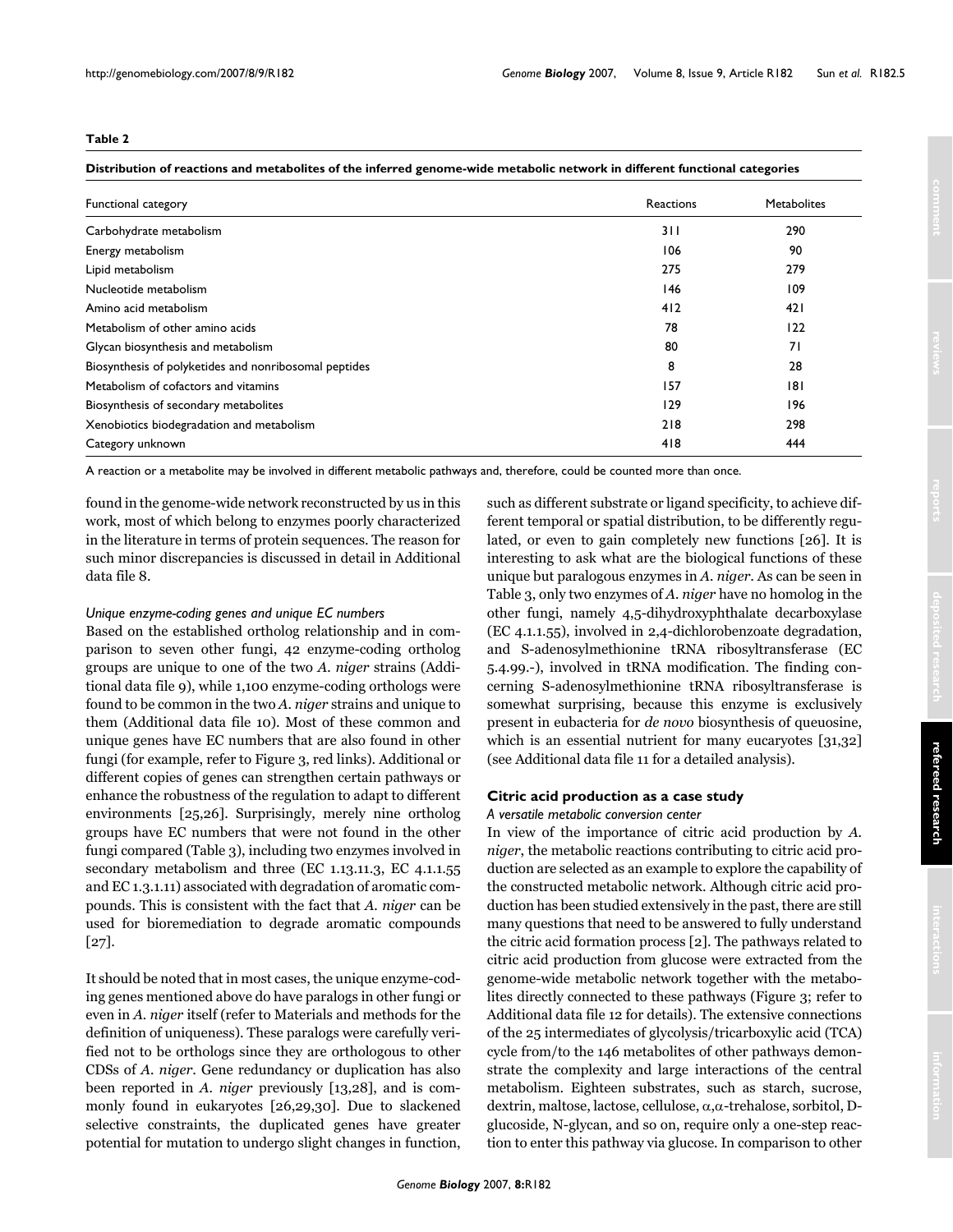### **Table 2**

### **Distribution of reactions and metabolites of the inferred genome-wide metabolic network in different functional categories**

| Functional category                                   | Reactions | <b>Metabolites</b> |
|-------------------------------------------------------|-----------|--------------------|
| Carbohydrate metabolism                               | 311       | 290                |
| Energy metabolism                                     | 106       | 90                 |
| Lipid metabolism                                      | 275       | 279                |
| Nucleotide metabolism                                 | 146       | 109                |
| Amino acid metabolism                                 | 412       | 421                |
| Metabolism of other amino acids                       | 78        | 122                |
| Glycan biosynthesis and metabolism                    | 80        | 71                 |
| Biosynthesis of polyketides and nonribosomal peptides | 8         | 28                 |
| Metabolism of cofactors and vitamins                  | 157       | 181                |
| Biosynthesis of secondary metabolites                 | 129       | 196                |
| Xenobiotics biodegradation and metabolism             | 218       | 298                |
| Category unknown                                      | 418       | 444                |

A reaction or a metabolite may be involved in different metabolic pathways and, therefore, could be counted more than once.

found in the genome-wide network reconstructed by us in this work, most of which belong to enzymes poorly characterized in the literature in terms of protein sequences. The reason for such minor discrepancies is discussed in detail in Additional data file 8.

### *Unique enzyme-coding genes and unique EC numbers*

Based on the established ortholog relationship and in comparison to seven other fungi, 42 enzyme-coding ortholog groups are unique to one of the two *A. niger* strains (Additional data file 9), while 1,100 enzyme-coding orthologs were found to be common in the two *A. niger* strains and unique to them (Additional data file 10). Most of these common and unique genes have EC numbers that are also found in other fungi (for example, refer to Figure 3, red links). Additional or different copies of genes can strengthen certain pathways or enhance the robustness of the regulation to adapt to different environments [25,26]. Surprisingly, merely nine ortholog groups have EC numbers that were not found in the other fungi compared (Table 3), including two enzymes involved in secondary metabolism and three (EC 1.13.11.3, EC 4.1.1.55 and EC 1.3.1.11) associated with degradation of aromatic compounds. This is consistent with the fact that *A. niger* can be used for bioremediation to degrade aromatic compounds [27].

It should be noted that in most cases, the unique enzyme-coding genes mentioned above do have paralogs in other fungi or even in *A. niger* itself (refer to Materials and methods for the definition of uniqueness). These paralogs were carefully verified not to be orthologs since they are orthologous to other CDSs of *A. niger*. Gene redundancy or duplication has also been reported in *A. niger* previously [13,28], and is commonly found in eukaryotes [26,29,30]. Due to slackened selective constraints, the duplicated genes have greater potential for mutation to undergo slight changes in function,

such as different substrate or ligand specificity, to achieve different temporal or spatial distribution, to be differently regulated, or even to gain completely new functions [26]. It is interesting to ask what are the biological functions of these unique but paralogous enzymes in *A. niger*. As can be seen in Table 3, only two enzymes of *A. niger* have no homolog in the other fungi, namely 4,5-dihydroxyphthalate decarboxylase (EC 4.1.1.55), involved in 2,4-dichlorobenzoate degradation, and S-adenosylmethionine tRNA ribosyltransferase (EC 5.4.99.-), involved in tRNA modification. The finding concerning S-adenosylmethionine tRNA ribosyltransferase is somewhat surprising, because this enzyme is exclusively present in eubacteria for *de novo* biosynthesis of queuosine, which is an essential nutrient for many eucaryotes [31,32] (see Additional data file 11 for a detailed analysis).

### **Citric acid production as a case study**

## *A versatile metabolic conversion center*

In view of the importance of citric acid production by *A. niger*, the metabolic reactions contributing to citric acid production are selected as an example to explore the capability of the constructed metabolic network. Although citric acid production has been studied extensively in the past, there are still many questions that need to be answered to fully understand the citric acid formation process [\[2](#page-12-0)]. The pathways related to citric acid production from glucose were extracted from the genome-wide metabolic network together with the metabolites directly connected to these pathways (Figure 3; refer to Additional data file 12 for details). The extensive connections of the 25 intermediates of glycolysis/tricarboxylic acid (TCA) cycle from/to the 146 metabolites of other pathways demonstrate the complexity and large interactions of the central metabolism. Eighteen substrates, such as starch, sucrose, dextrin, maltose, lactose, cellulose, α,α-trehalose, sorbitol, Dglucoside, N-glycan, and so on, require only a one-step reaction to enter this pathway via glucose. In comparison to other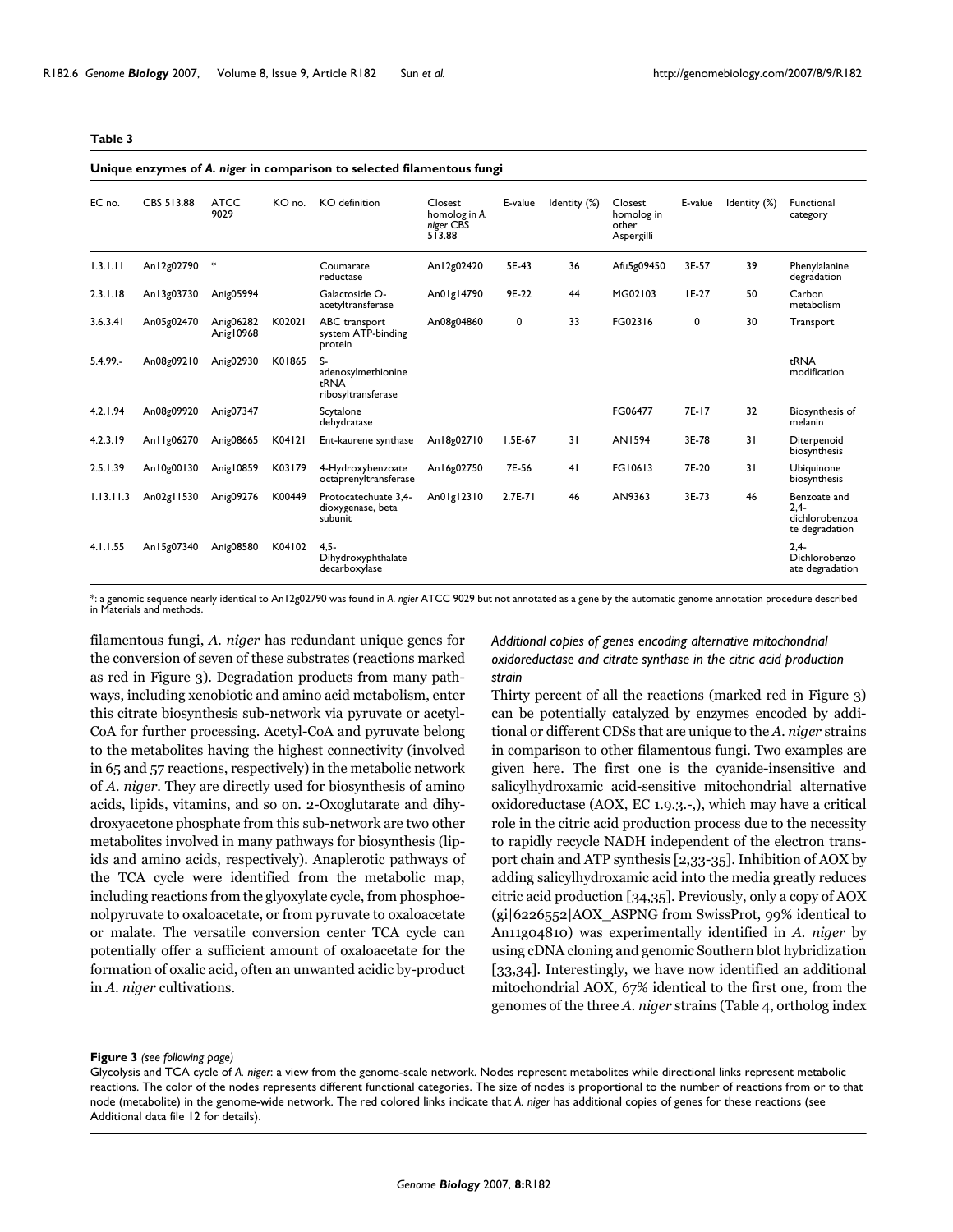#### **Table 3**

#### **Unique enzymes of** *A. niger* **in comparison to selected filamentous fungi**

| EC no.      | CBS 513.88   | <b>ATCC</b><br>9029    | KO no. | KO definition                                          | Closest<br>homolog in A.<br>niger CBS<br>513.88 | E-value     | Identity (%) | Closest<br>homolog in<br>other<br>Aspergilli | E-value | Identity (%) | Functional<br>category                                      |
|-------------|--------------|------------------------|--------|--------------------------------------------------------|-------------------------------------------------|-------------|--------------|----------------------------------------------|---------|--------------|-------------------------------------------------------------|
| 1.3.1.11    | An12g02790   | *                      |        | Coumarate<br>reductase                                 | An12g02420                                      | 5E-43       | 36           | Afu5g09450                                   | 3E-57   | 39           | Phenylalanine<br>degradation                                |
| 2.3.1.18    | An13g03730   | Anig05994              |        | Galactoside O-<br>acetyltransferase                    | An01g14790                                      | 9E-22       | 44           | MG02103                                      | $IE-27$ | 50           | Carbon<br>metabolism                                        |
| 3.6.3.41    | An05g02470   | Anig06282<br>Anig10968 | K02021 | ABC transport<br>system ATP-binding<br>protein         | An08g04860                                      | 0           | 33           | FG02316                                      | 0       | 30           | Transport                                                   |
| $5.4.99. -$ | An08g09210   | Anig02930              | K01865 | S-<br>adenosylmethionine<br>tRNA<br>ribosyltransferase |                                                 |             |              |                                              |         |              | tRNA<br>modification                                        |
| 4.2.1.94    | An08g09920   | Anig07347              |        | Scytalone<br>dehydratase                               |                                                 |             |              | FG06477                                      | 7E-17   | 32           | Biosynthesis of<br>melanin                                  |
| 4.2.3.19    | An I Ig06270 | Anig08665              | K04121 | Ent-kaurene synthase                                   | An18g02710                                      | $1.5E-67$   | 31           | <b>AN1594</b>                                | 3E-78   | 31           | Diterpenoid<br>biosynthesis                                 |
| 2.5.1.39    | An10g00130   | Anig10859              | K03179 | 4-Hydroxybenzoate<br>octaprenyltransferase             | An16g02750                                      | 7E-56       | 41           | FG10613                                      | 7E-20   | 31           | Ubiquinone<br>biosynthesis                                  |
| 1.13.11.3   | An02g11530   | Anig09276              | K00449 | Protocatechuate 3,4-<br>dioxygenase, beta<br>subunit   | An01g12310                                      | $2.7E - 71$ | 46           | AN9363                                       | 3E-73   | 46           | Benzoate and<br>$2.4 -$<br>dichlorobenzoa<br>te degradation |
| 4.1.1.55    | An15g07340   | Anig08580              | K04102 | $4.5 -$<br>Dihydroxyphthalate<br>decarboxylase         |                                                 |             |              |                                              |         |              | $2.4 -$<br>Dichlorobenzo<br>ate degradation                 |

\*: a genomic sequence nearly identical to An12g02790 was found in *A. ngier* ATCC 9029 but not annotated as a gene by the automatic genome annotation procedure described in Materials and methods.

filamentous fungi, *A. niger* has redundant unique genes for the conversion of seven of these substrates (reactions marked as red in Figure 3). Degradation products from many pathways, including xenobiotic and amino acid metabolism, enter this citrate biosynthesis sub-network via pyruvate or acetyl-CoA for further processing. Acetyl-CoA and pyruvate belong to the metabolites having the highest connectivity (involved in 65 and 57 reactions, respectively) in the metabolic network of *A. niger*. They are directly used for biosynthesis of amino acids, lipids, vitamins, and so on. 2-Oxoglutarate and dihydroxyacetone phosphate from this sub-network are two other metabolites involved in many pathways for biosynthesis (lipids and amino acids, respectively). Anaplerotic pathways of the TCA cycle were identified from the metabolic map, including reactions from the glyoxylate cycle, from phosphoenolpyruvate to oxaloacetate, or from pyruvate to oxaloacetate or malate. The versatile conversion center TCA cycle can potentially offer a sufficient amount of oxaloacetate for the formation of oxalic acid, often an unwanted acidic by-product in *A. niger* cultivations.

*Additional copies of genes encoding alternative mitochondrial oxidoreductase and citrate synthase in the citric acid production strain*

Thirty percent of all the reactions (marked red in Figure 3) can be potentially catalyzed by enzymes encoded by additional or different CDSs that are unique to the *A. niger* strains in comparison to other filamentous fungi. Two examples are given here. The first one is the cyanide-insensitive and salicylhydroxamic acid-sensitive mitochondrial alternative oxidoreductase (AOX, EC 1.9.3.-,), which may have a critical role in the citric acid production process due to the necessity to rapidly recycle NADH independent of the electron transport chain and ATP synthesis [\[2](#page-12-0),33-35]. Inhibition of AOX by adding salicylhydroxamic acid into the media greatly reduces citric acid production [34,35]. Previously, only a copy of AOX (gi|6226552|AOX\_ASPNG from SwissProt, 99% identical to An11g04810) was experimentally identified in *A. niger* by using cDNA cloning and genomic Southern blot hybridization [33,34]. Interestingly, we have now identified an additional mitochondrial AOX, 67% identical to the first one, from the genomes of the three *A. niger* strains (Table 4, ortholog index

Figure 3 (see following page)

Glycolysis and TCA cycle of *A. niger*: a view from the genome-scale network. Nodes represent metabolites while directional links represent metabolic reactions. The color of the nodes represents different functional categories. The size of nodes is proportional to the number of reactions from or to that node (metabolite) in the genome-wide network. The red colored links indicate that *A. niger* has additional copies of genes for these reactions (see Additional data file 12 for details).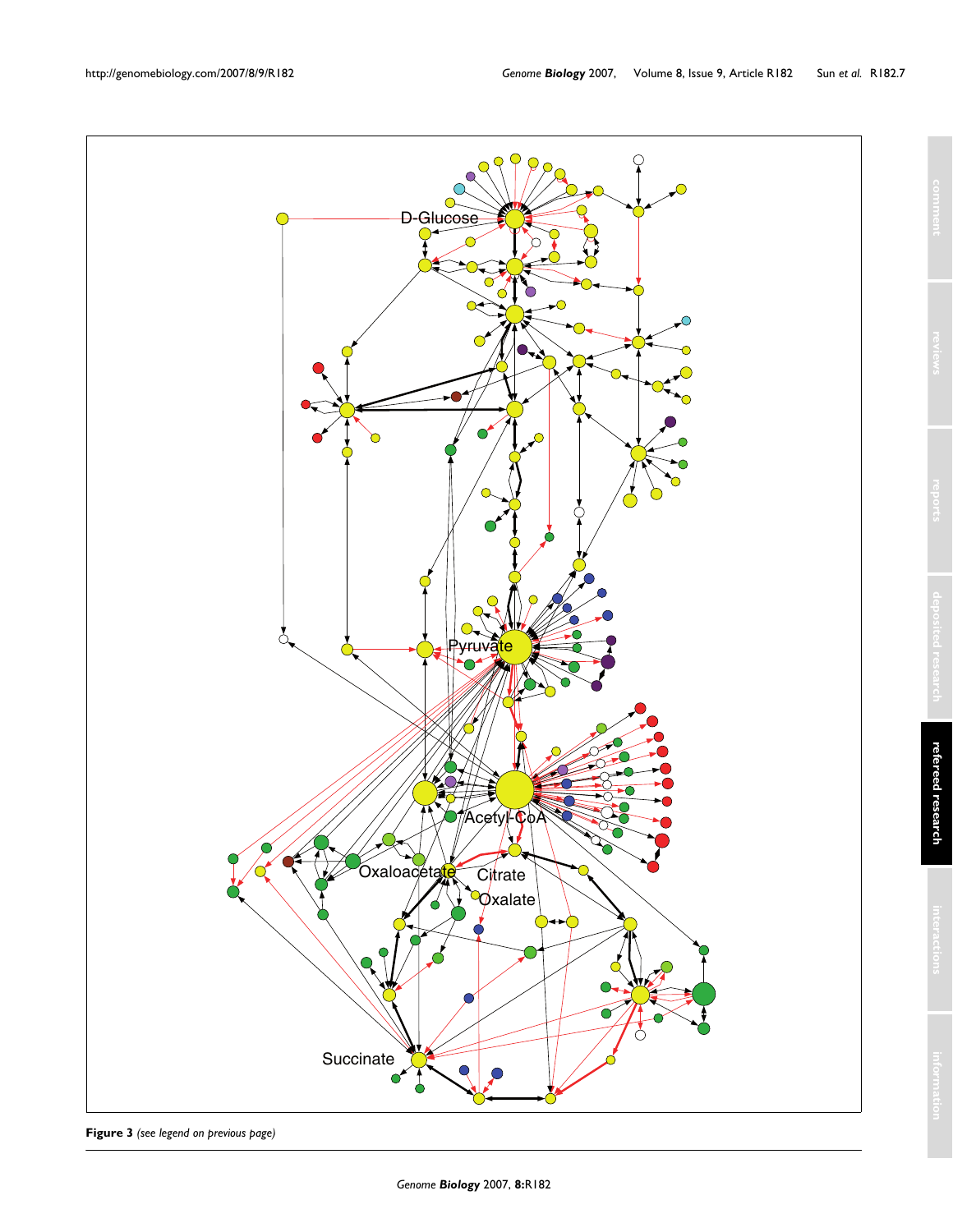

**Figure 3** *(see legend on previous page)*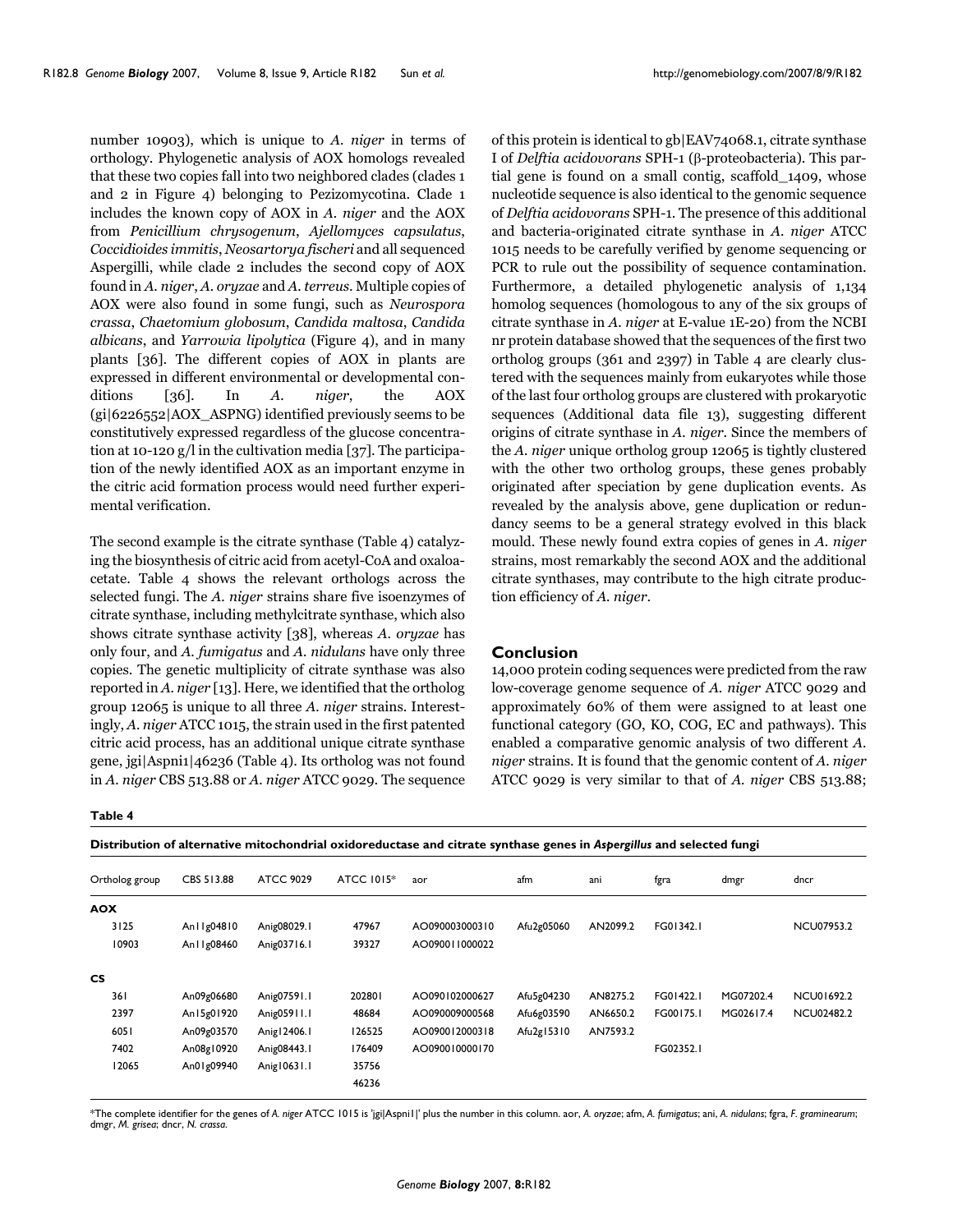number 10903), which is unique to *A. niger* in terms of orthology. Phylogenetic analysis of AOX homologs revealed that these two copies fall into two neighbored clades (clades 1 and 2 in Figure 4) belonging to Pezizomycotina. Clade 1 includes the known copy of AOX in *A. niger* and the AOX from *Penicillium chrysogenum*, *Ajellomyces capsulatus*, *Coccidioides immitis*, *Neosartorya fischeri* and all sequenced Aspergilli, while clade 2 includes the second copy of AOX found in *A. niger*, *A. oryzae* and *A. terreus*. Multiple copies of AOX were also found in some fungi, such as *Neurospora crassa*, *Chaetomium globosum*, *Candida maltosa*, *Candida albicans*, and *Yarrowia lipolytica* (Figure 4), and in many plants [36]. The different copies of AOX in plants are expressed in different environmental or developmental conditions [36]. In *A. niger*, the AOX (gi|6226552|AOX\_ASPNG) identified previously seems to be constitutively expressed regardless of the glucose concentration at 10-120 g/l in the cultivation media [37]. The participation of the newly identified AOX as an important enzyme in the citric acid formation process would need further experimental verification.

The second example is the citrate synthase (Table 4) catalyzing the biosynthesis of citric acid from acetyl-CoA and oxaloacetate. Table 4 shows the relevant orthologs across the selected fungi. The *A. niger* strains share five isoenzymes of citrate synthase, including methylcitrate synthase, which also shows citrate synthase activity [38], whereas *A. oryzae* has only four, and *A. fumigatus* and *A. nidulans* have only three copies. The genetic multiplicity of citrate synthase was also reported in *A. niger* [13]. Here, we identified that the ortholog group 12065 is unique to all three *A. niger* strains. Interestingly, *A. niger* ATCC 1015, the strain used in the first patented citric acid process, has an additional unique citrate synthase gene, jgi|Aspni1|46236 (Table 4). Its ortholog was not found in *A. niger* CBS 513.88 or *A. niger* ATCC 9029. The sequence

**Table 4**

of this protein is identical to gb|EAV74068.1, citrate synthase I of *Delftia acidovorans* SPH-1 (β-proteobacteria). This partial gene is found on a small contig, scaffold\_1409, whose nucleotide sequence is also identical to the genomic sequence of *Delftia acidovorans* SPH-1. The presence of this additional and bacteria-originated citrate synthase in *A. niger* ATCC 1015 needs to be carefully verified by genome sequencing or PCR to rule out the possibility of sequence contamination. Furthermore, a detailed phylogenetic analysis of 1,134 homolog sequences (homologous to any of the six groups of citrate synthase in *A. niger* at E-value 1E-20) from the NCBI nr protein database showed that the sequences of the first two ortholog groups (361 and 2397) in Table 4 are clearly clustered with the sequences mainly from eukaryotes while those of the last four ortholog groups are clustered with prokaryotic sequences (Additional data file 13), suggesting different origins of citrate synthase in *A. niger*. Since the members of the *A. niger* unique ortholog group 12065 is tightly clustered with the other two ortholog groups, these genes probably originated after speciation by gene duplication events. As revealed by the analysis above, gene duplication or redundancy seems to be a general strategy evolved in this black mould. These newly found extra copies of genes in *A. niger* strains, most remarkably the second AOX and the additional citrate synthases, may contribute to the high citrate production efficiency of *A. niger*.

### **Conclusion**

14,000 protein coding sequences were predicted from the raw low-coverage genome sequence of *A. niger* ATCC 9029 and approximately 60% of them were assigned to at least one functional category (GO, KO, COG, EC and pathways). This enabled a comparative genomic analysis of two different *A. niger* strains. It is found that the genomic content of *A. niger* ATCC 9029 is very similar to that of *A. niger* CBS 513.88;

| Ortholog group | CBS 513.88    | <b>ATCC 9029</b> | <b>ATCC 1015*</b> | aor            | afm        | ani      | fgra      | dmgr      | dncr              |
|----------------|---------------|------------------|-------------------|----------------|------------|----------|-----------|-----------|-------------------|
| <b>AOX</b>     |               |                  |                   |                |            |          |           |           |                   |
| 3125           | An I Ig04810  | Anig08029.1      | 47967             | AO090003000310 | Afu2g05060 | AN2099.2 | FG01342.1 |           | <b>NCU07953.2</b> |
| 10903          | An I I g08460 | Anig03716.1      | 39327             | AO090011000022 |            |          |           |           |                   |
| <b>CS</b>      |               |                  |                   |                |            |          |           |           |                   |
| 361            | An09g06680    | Anig07591.1      | 202801            | AO090102000627 | Afu5g04230 | AN8275.2 | FG01422.1 | MG07202.4 | NCU01692.2        |
| 2397           | An15g01920    | Anig05911.1      | 48684             | AO090009000568 | Afu6g03590 | AN6650.2 | FG00175.1 | MG02617.4 | <b>NCU02482.2</b> |
| 6051           | An09g03570    | Anig   2406.1    | 126525            | AO090012000318 | Afu2g15310 | AN7593.2 |           |           |                   |
| 7402           | An08g10920    | Anig08443.1      | 176409            | AO090010000170 |            |          | FG02352.1 |           |                   |
| 12065          | An01g09940    | Anig10631.1      | 35756             |                |            |          |           |           |                   |
|                |               |                  | 46236             |                |            |          |           |           |                   |

\*The complete identifier for the genes of *A. niger* ATCC 1015 is 'jgi|Aspni1|' plus the number in this column. aor, *A. oryzae*; afm, *A. fumigatus*; ani, *A. nidulans*; fgra, *F. graminearum*; dmgr, *M. grisea*; dncr, *N. crassa*.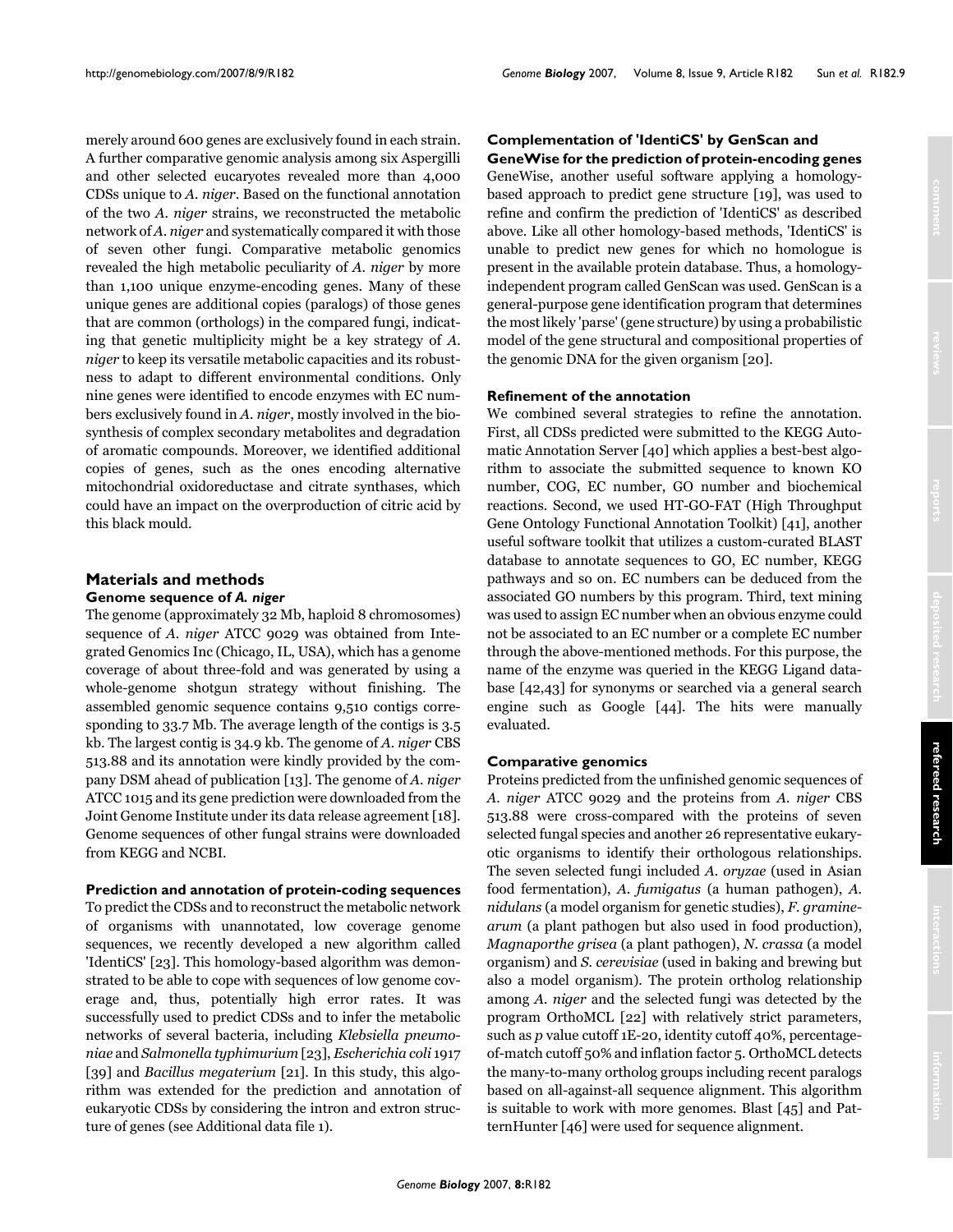merely around 600 genes are exclusively found in each strain. A further comparative genomic analysis among six Aspergilli and other selected eucaryotes revealed more than 4,000 CDSs unique to *A. niger*. Based on the functional annotation of the two *A. niger* strains, we reconstructed the metabolic network of *A. niger* and systematically compared it with those of seven other fungi. Comparative metabolic genomics revealed the high metabolic peculiarity of *A. niger* by more than 1,100 unique enzyme-encoding genes. Many of these unique genes are additional copies (paralogs) of those genes that are common (orthologs) in the compared fungi, indicating that genetic multiplicity might be a key strategy of *A. niger* to keep its versatile metabolic capacities and its robustness to adapt to different environmental conditions. Only nine genes were identified to encode enzymes with EC numbers exclusively found in *A. niger*, mostly involved in the biosynthesis of complex secondary metabolites and degradation of aromatic compounds. Moreover, we identified additional copies of genes, such as the ones encoding alternative mitochondrial oxidoreductase and citrate synthases, which could have an impact on the overproduction of citric acid by this black mould.

### **Materials and methods Genome sequence of** *A. niger*

The genome (approximately 32 Mb, haploid 8 chromosomes) sequence of *A. niger* ATCC 9029 was obtained from Integrated Genomics Inc (Chicago, IL, USA), which has a genome coverage of about three-fold and was generated by using a whole-genome shotgun strategy without finishing. The assembled genomic sequence contains 9,510 contigs corresponding to 33.7 Mb. The average length of the contigs is 3.5 kb. The largest contig is 34.9 kb. The genome of *A. niger* CBS 513.88 and its annotation were kindly provided by the company DSM ahead of publication [13]. The genome of *A. niger* ATCC 1015 and its gene prediction were downloaded from the Joint Genome Institute under its data release agreement [18]. Genome sequences of other fungal strains were downloaded from KEGG and NCBI.

#### **Prediction and annotation of protein-coding sequences**

To predict the CDSs and to reconstruct the metabolic network of organisms with unannotated, low coverage genome sequences, we recently developed a new algorithm called 'IdentiCS' [23]. This homology-based algorithm was demonstrated to be able to cope with sequences of low genome coverage and, thus, potentially high error rates. It was successfully used to predict CDSs and to infer the metabolic networks of several bacteria, including *Klebsiella pneumoniae* and *Salmonella typhimurium* [23], *Escherichia coli* 1917 [39] and *Bacillus megaterium* [21]. In this study, this algorithm was extended for the prediction and annotation of eukaryotic CDSs by considering the intron and extron structure of genes (see Additional data file 1).

## **Complementation of 'IdentiCS' by GenScan and**

**GeneWise for the prediction of protein-encoding genes** GeneWise, another useful software applying a homologybased approach to predict gene structure [19], was used to refine and confirm the prediction of 'IdentiCS' as described above. Like all other homology-based methods, 'IdentiCS' is unable to predict new genes for which no homologue is present in the available protein database. Thus, a homologyindependent program called GenScan was used. GenScan is a general-purpose gene identification program that determines the most likely 'parse' (gene structure) by using a probabilistic model of the gene structural and compositional properties of the genomic DNA for the given organism [20].

### **Refinement of the annotation**

We combined several strategies to refine the annotation. First, all CDSs predicted were submitted to the KEGG Automatic Annotation Server [40] which applies a best-best algorithm to associate the submitted sequence to known KO number, COG, EC number, GO number and biochemical reactions. Second, we used HT-GO-FAT (High Throughput Gene Ontology Functional Annotation Toolkit) [41], another useful software toolkit that utilizes a custom-curated BLAST database to annotate sequences to GO, EC number, KEGG pathways and so on. EC numbers can be deduced from the associated GO numbers by this program. Third, text mining was used to assign EC number when an obvious enzyme could not be associated to an EC number or a complete EC number through the above-mentioned methods. For this purpose, the name of the enzyme was queried in the KEGG Ligand database [42,43] for synonyms or searched via a general search engine such as Google [44]. The hits were manually evaluated.

#### **Comparative genomics**

Proteins predicted from the unfinished genomic sequences of *A. niger* ATCC 9029 and the proteins from *A. niger* CBS 513.88 were cross-compared with the proteins of seven selected fungal species and another 26 representative eukaryotic organisms to identify their orthologous relationships. The seven selected fungi included *A. oryzae* (used in Asian food fermentation), *A. fumigatus* (a human pathogen), *A. nidulans* (a model organism for genetic studies), *F. graminearum* (a plant pathogen but also used in food production), *Magnaporthe grisea* (a plant pathogen), *N. crassa* (a model organism) and *S. cerevisiae* (used in baking and brewing but also a model organism). The protein ortholog relationship among *A. niger* and the selected fungi was detected by the program OrthoMCL [22] with relatively strict parameters, such as *p* value cutoff 1E-20, identity cutoff 40%, percentageof-match cutoff 50% and inflation factor 5. OrthoMCL detects the many-to-many ortholog groups including recent paralogs based on all-against-all sequence alignment. This algorithm is suitable to work with more genomes. Blast [45] and PatternHunter [46] were used for sequence alignment.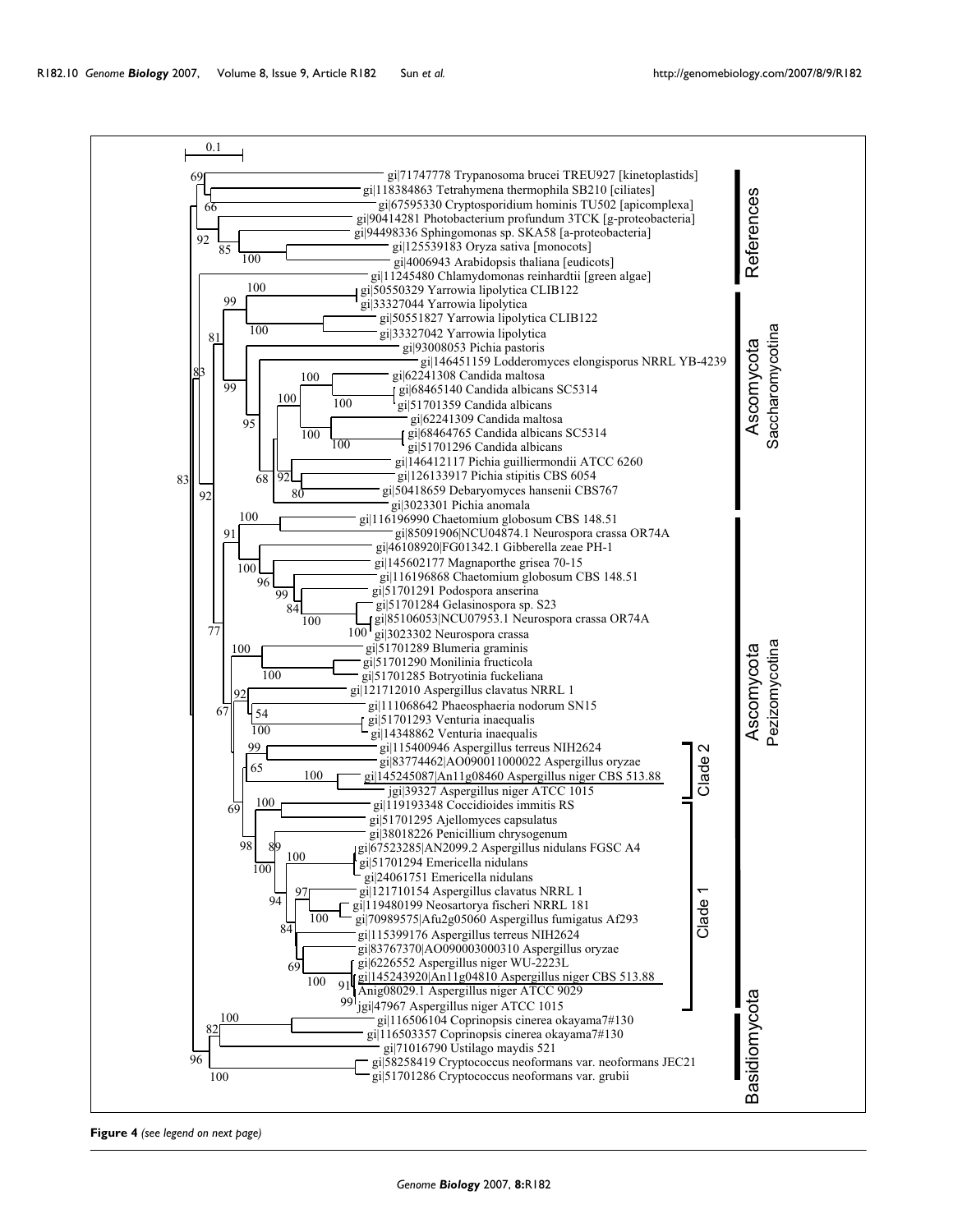

**Figure 4** *(see legend on next page)*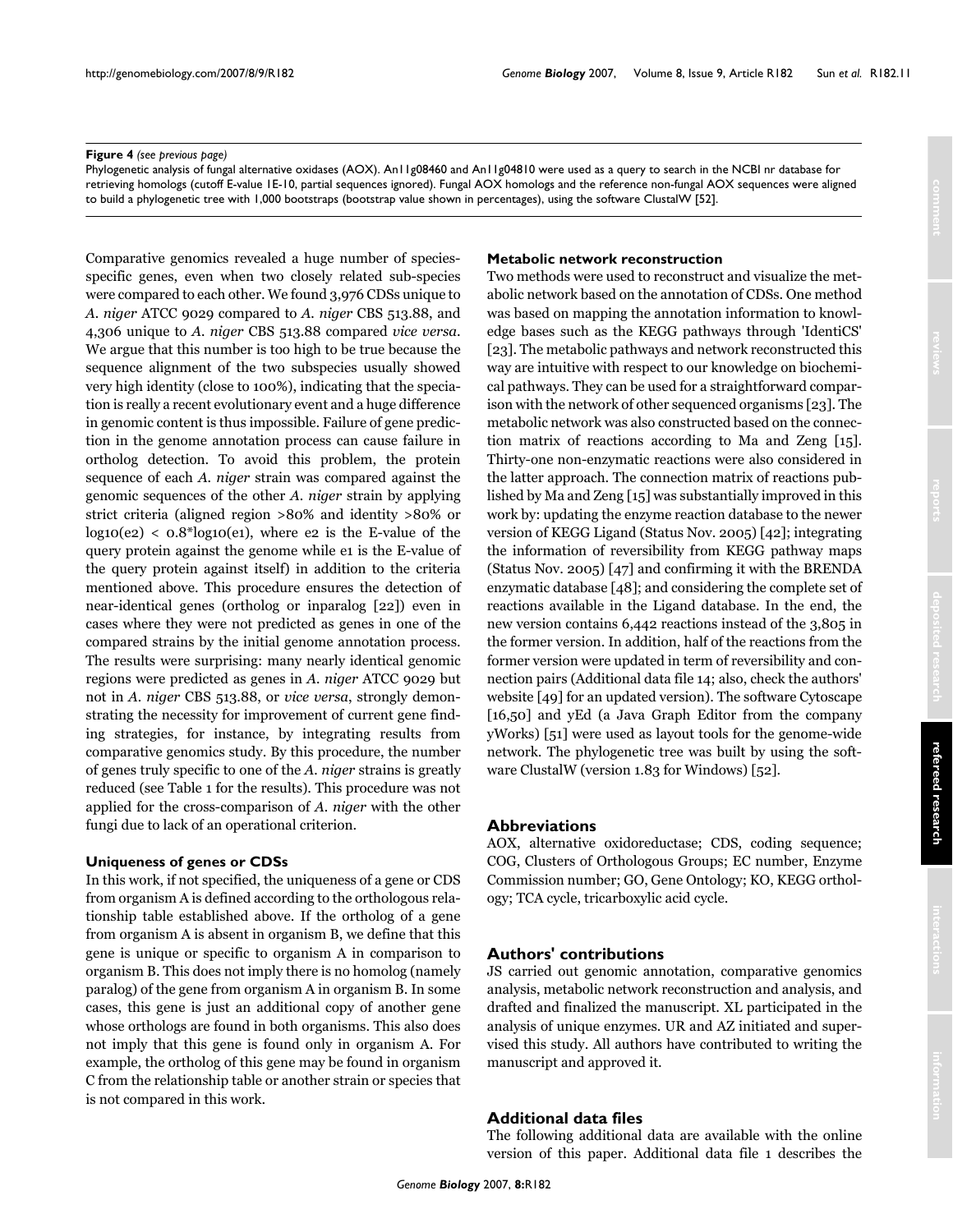### **Figure 4** (see previous page)

Phylogenetic analysis of fungal alternative oxidases (AOX). An11g08460 and An11g04810 were used as a query to search in the NCBI nr database for retrieving homologs (cutoff E-value 1E-10, partial sequences ignored). Fungal AOX homologs and the reference non-fungal AOX sequences were aligned to build a phylogenetic tree with 1,000 bootstraps (bootstrap value shown in percentages), using the software ClustalW [52].

Comparative genomics revealed a huge number of speciesspecific genes, even when two closely related sub-species were compared to each other. We found 3,976 CDSs unique to *A. niger* ATCC 9029 compared to *A. niger* CBS 513.88, and 4,306 unique to *A. niger* CBS 513.88 compared *vice versa*. We argue that this number is too high to be true because the sequence alignment of the two subspecies usually showed very high identity (close to 100%), indicating that the speciation is really a recent evolutionary event and a huge difference in genomic content is thus impossible. Failure of gene prediction in the genome annotation process can cause failure in ortholog detection. To avoid this problem, the protein sequence of each *A. niger* strain was compared against the genomic sequences of the other *A. niger* strain by applying strict criteria (aligned region >80% and identity >80% or  $log10(e^2) < 0.8^*log10(e^2)$ , where e2 is the E-value of the query protein against the genome while e1 is the E-value of the query protein against itself) in addition to the criteria mentioned above. This procedure ensures the detection of near-identical genes (ortholog or inparalog [22]) even in cases where they were not predicted as genes in one of the compared strains by the initial genome annotation process. The results were surprising: many nearly identical genomic regions were predicted as genes in *A. niger* ATCC 9029 but not in *A. niger* CBS 513.88, or *vice versa*, strongly demonstrating the necessity for improvement of current gene finding strategies, for instance, by integrating results from comparative genomics study. By this procedure, the number of genes truly specific to one of the *A. niger* strains is greatly reduced (see Table [1](#page-3-0) for the results). This procedure was not applied for the cross-comparison of *A. niger* with the other fungi due to lack of an operational criterion.

### **Uniqueness of genes or CDSs**

In this work, if not specified, the uniqueness of a gene or CDS from organism A is defined according to the orthologous relationship table established above. If the ortholog of a gene from organism A is absent in organism B, we define that this gene is unique or specific to organism A in comparison to organism B. This does not imply there is no homolog (namely paralog) of the gene from organism A in organism B. In some cases, this gene is just an additional copy of another gene whose orthologs are found in both organisms. This also does not imply that this gene is found only in organism A. For example, the ortholog of this gene may be found in organism C from the relationship table or another strain or species that is not compared in this work.

### **Metabolic network reconstruction**

Two methods were used to reconstruct and visualize the metabolic network based on the annotation of CDSs. One method was based on mapping the annotation information to knowledge bases such as the KEGG pathways through 'IdentiCS' [23]. The metabolic pathways and network reconstructed this way are intuitive with respect to our knowledge on biochemical pathways. They can be used for a straightforward comparison with the network of other sequenced organisms [23]. The metabolic network was also constructed based on the connection matrix of reactions according to Ma and Zeng [15]. Thirty-one non-enzymatic reactions were also considered in the latter approach. The connection matrix of reactions published by Ma and Zeng [15] was substantially improved in this work by: updating the enzyme reaction database to the newer version of KEGG Ligand (Status Nov. 2005) [42]; integrating the information of reversibility from KEGG pathway maps (Status Nov. 2005) [47] and confirming it with the BRENDA enzymatic database [48]; and considering the complete set of reactions available in the Ligand database. In the end, the new version contains 6,442 reactions instead of the 3,805 in the former version. In addition, half of the reactions from the former version were updated in term of reversibility and connection pairs (Additional data file 14; also, check the authors' website [49] for an updated version). The software Cytoscape [16,50] and yEd (a Java Graph Editor from the company yWorks) [51] were used as layout tools for the genome-wide network. The phylogenetic tree was built by using the software ClustalW (version 1.83 for Windows) [52].

### **Abbreviations**

AOX, alternative oxidoreductase; CDS, coding sequence; COG, Clusters of Orthologous Groups; EC number, Enzyme Commission number; GO, Gene Ontology; KO, KEGG orthology; TCA cycle, tricarboxylic acid cycle.

## **Authors' contributions**

JS carried out genomic annotation, comparative genomics analysis, metabolic network reconstruction and analysis, and drafted and finalized the manuscript. XL participated in the analysis of unique enzymes. UR and AZ initiated and supervised this study. All authors have contributed to writing the manuscript and approved it.

## **Additional data files**

The following additional data are available with the online version of this paper. Additional data file 1 describes the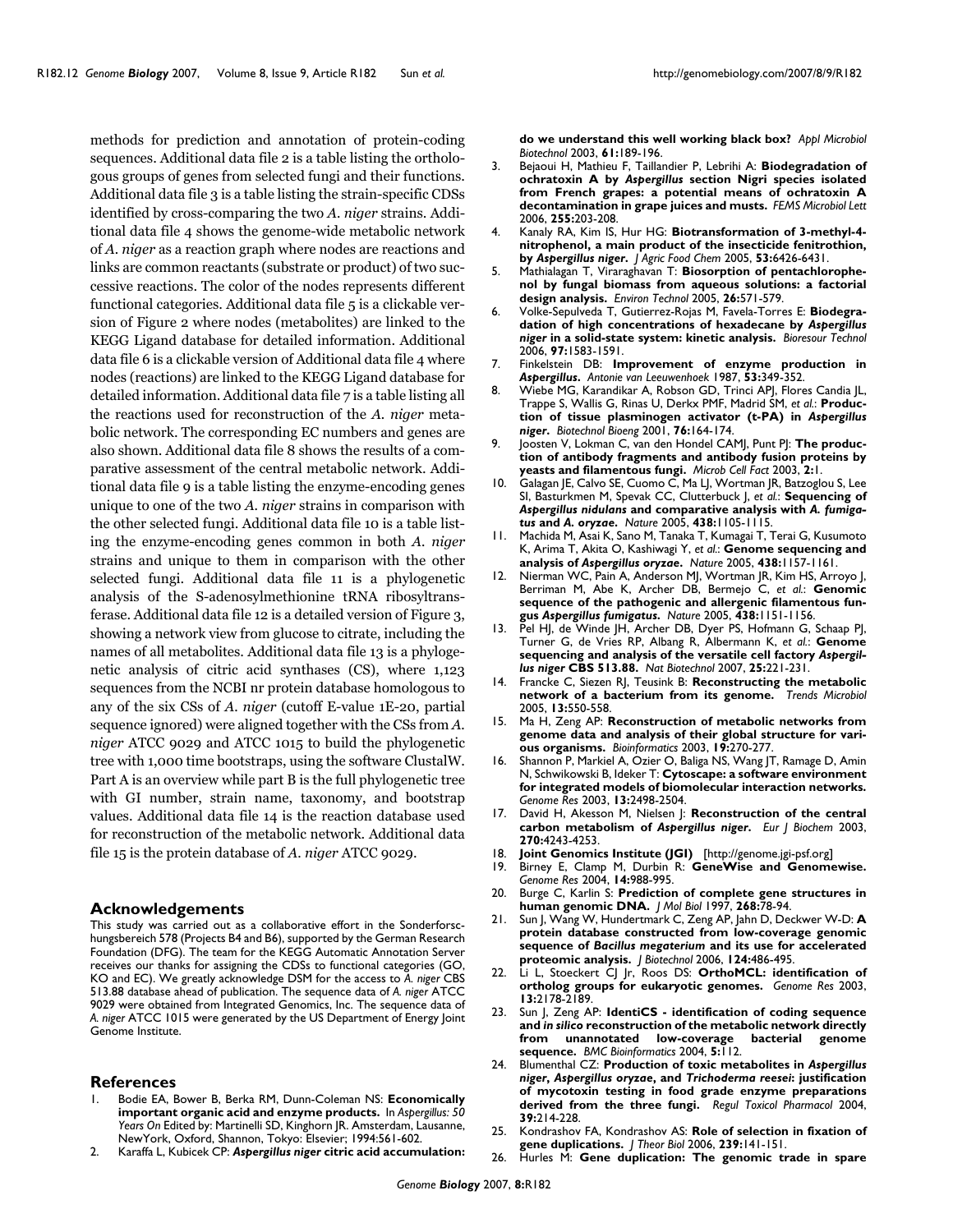methods for prediction and annotation of protein-coding sequences. Additional data file 2 is a table listing the orthologous groups of genes from selected fungi and their functions. Additional data file 3 is a table listing the strain-specific CDSs identified by cross-comparing the two *A. niger* strains. Additional data file 4 shows the genome-wide metabolic network of *A. niger* as a reaction graph where nodes are reactions and links are common reactants (substrate or product) of two successive reactions. The color of the nodes represents different functional categories. Additional data file 5 is a clickable version of Figure 2 where nodes (metabolites) are linked to the KEGG Ligand database for detailed information. Additional data file 6 is a clickable version of Additional data file 4 where nodes (reactions) are linked to the KEGG Ligand database for detailed information. Additional data file 7 is a table listing all the reactions used for reconstruction of the *A. niger* metabolic network. The corresponding EC numbers and genes are also shown. Additional data file 8 shows the results of a comparative assessment of the central metabolic network. Additional data file 9 is a table listing the enzyme-encoding genes unique to one of the two *A. niger* strains in comparison with the other selected fungi. Additional data file 10 is a table listing the enzyme-encoding genes common in both *A. niger* strains and unique to them in comparison with the other selected fungi. Additional data file 11 is a phylogenetic analysis of the S-adenosylmethionine tRNA ribosyltransferase. Additional data file 12 is a detailed version of Figure 3, showing a network view from glucose to citrate, including the names of all metabolites. Additional data file 13 is a phylogenetic analysis of citric acid synthases (CS), where 1,123 sequences from the NCBI nr protein database homologous to any of the six CSs of *A. niger* (cutoff E-value 1E-20, partial sequence ignored) were aligned together with the CSs from *A. niger* ATCC 9029 and ATCC 1015 to build the phylogenetic tree with 1,000 time bootstraps, using the software ClustalW. Part A is an overview while part B is the full phylogenetic tree with GI number, strain name, taxonomy, and bootstrap values. Additional data file 14 is the reaction database used for reconstruction of the metabolic network. Additional data file 15 is the protein database of *A. niger* ATCC 9029.

### **Acknowledgements**

This study was carried out as a collaborative effort in the Sonderforschungsbereich 578 (Projects B4 and B6), supported by the German Research Foundation (DFG). The team for the KEGG Automatic Annotation Server receives our thanks for assigning the CDSs to functional categories (GO, KO and EC). We greatly acknowledge DSM for the access to *A. niger* CBS 513.88 database ahead of publication. The sequence data of *A. niger* ATCC 9029 were obtained from Integrated Genomics, Inc. The sequence data of *A. niger* ATCC 1015 were generated by the US Department of Energy Joint Genome Institute.

### **References**

- 1. Bodie EA, Bower B, Berka RM, Dunn-Coleman NS: **Economically important organic acid and enzyme products.** In *Aspergillus: 50 Years On* Edited by: Martinelli SD, Kinghorn JR. Amsterdam, Lausanne, NewYork, Oxford, Shannon, Tokyo: Elsevier; 1994:561-602.
- <span id="page-12-0"></span>2. Karaffa L, Kubicek CP: *Aspergillus niger* **[citric acid accumulation:](http://www.ncbi.nlm.nih.gov/entrez/query.fcgi?cmd=Retrieve&db=PubMed&dopt=Abstract&list_uids=12698275)**

**[do we understand this well working black box?](http://www.ncbi.nlm.nih.gov/entrez/query.fcgi?cmd=Retrieve&db=PubMed&dopt=Abstract&list_uids=12698275)** *Appl Microbiol Biotechnol* 2003, **61:**189-196.

- 3. Bejaoui H, Mathieu F, Taillandier P, Lebrihi A: **Biodegradation of ochratoxin A by** *Aspergillus* **[section Nigri species isolated](http://www.ncbi.nlm.nih.gov/entrez/query.fcgi?cmd=Retrieve&db=PubMed&dopt=Abstract&list_uids=16448496) [from French grapes: a potential means of ochratoxin A](http://www.ncbi.nlm.nih.gov/entrez/query.fcgi?cmd=Retrieve&db=PubMed&dopt=Abstract&list_uids=16448496) [decontamination in grape juices and musts.](http://www.ncbi.nlm.nih.gov/entrez/query.fcgi?cmd=Retrieve&db=PubMed&dopt=Abstract&list_uids=16448496)** *FEMS Microbiol Lett* 2006, **255:**203-208.
- 4. Kanaly RA, Kim IS, Hur HG: **Biotransformation of 3-methyl-4 nitrophenol, a main product of the insecticide fenitrothion, by** *Aspergillus niger***[.](http://www.ncbi.nlm.nih.gov/entrez/query.fcgi?cmd=Retrieve&db=PubMed&dopt=Abstract&list_uids=16076129)** *J Agric Food Chem* 2005, **53:**6426-6431.
- 5. Mathialagan T, Viraraghavan T: **[Biosorption of pentachlorophe](http://www.ncbi.nlm.nih.gov/entrez/query.fcgi?cmd=Retrieve&db=PubMed&dopt=Abstract&list_uids=15974275)[nol by fungal biomass from aqueous solutions: a factorial](http://www.ncbi.nlm.nih.gov/entrez/query.fcgi?cmd=Retrieve&db=PubMed&dopt=Abstract&list_uids=15974275) [design analysis.](http://www.ncbi.nlm.nih.gov/entrez/query.fcgi?cmd=Retrieve&db=PubMed&dopt=Abstract&list_uids=15974275)** *Environ Technol* 2005, **26:**571-579.
- 6. Volke-Sepulveda T, Gutierrez-Rojas M, Favela-Torres E: **Biodegradation of high concentrations of hexadecane by** *Aspergillus niger* **[in a solid-state system: kinetic analysis.](http://www.ncbi.nlm.nih.gov/entrez/query.fcgi?cmd=Retrieve&db=PubMed&dopt=Abstract&list_uids=16153825)** *Bioresour Technol* 2006, **97:**1583-1591.
- 7. Finkelstein DB: **Improvement of enzyme production in** *Aspergillus***[.](http://www.ncbi.nlm.nih.gov/entrez/query.fcgi?cmd=Retrieve&db=PubMed&dopt=Abstract&list_uids=3120641)** *Antonie van Leeuwenhoek* 1987, **53:**349-352.
- 8. Wiebe MG, Karandikar A, Robson GD, Trinci APJ, Flores Candia JL, Trappe S, Wallis G, Rinas U, Derkx PMF, Madrid SM, *et al.*: **Production of tissue plasminogen activator (t-PA) in** *Aspergillus niger***[.](http://www.ncbi.nlm.nih.gov/entrez/query.fcgi?cmd=Retrieve&db=PubMed&dopt=Abstract&list_uids=11505386)** *Biotechnol Bioeng* 2001, **76:**164-174.
- 9. Joosten V, Lokman C, van den Hondel CAMJ, Punt PJ: **[The produc](http://www.ncbi.nlm.nih.gov/entrez/query.fcgi?cmd=Retrieve&db=PubMed&dopt=Abstract&list_uids=12605725)[tion of antibody fragments and antibody fusion proteins by](http://www.ncbi.nlm.nih.gov/entrez/query.fcgi?cmd=Retrieve&db=PubMed&dopt=Abstract&list_uids=12605725) [yeasts and filamentous fungi.](http://www.ncbi.nlm.nih.gov/entrez/query.fcgi?cmd=Retrieve&db=PubMed&dopt=Abstract&list_uids=12605725)** *Microb Cell Fact* 2003, **2:**1.
- 10. Galagan JE, Calvo SE, Cuomo C, Ma LJ, Wortman JR, Batzoglou S, Lee SI, Basturkmen M, Spevak CC, Clutterbuck J, *et al.*: **Sequencing of** *Aspergillus nidulans* **and comparative analysis with** *A. fumigatus* **and** *A. oryzae***[.](http://www.ncbi.nlm.nih.gov/entrez/query.fcgi?cmd=Retrieve&db=PubMed&dopt=Abstract&list_uids=16372000)** *Nature* 2005, **438:**1105-1115.
- 11. Machida M, Asai K, Sano M, Tanaka T, Kumagai T, Terai G, Kusumoto K, Arima T, Akita O, Kashiwagi Y, *et al.*: **Genome sequencing and analysis of** *Aspergillus oryzae***[.](http://www.ncbi.nlm.nih.gov/entrez/query.fcgi?cmd=Retrieve&db=PubMed&dopt=Abstract&list_uids=16372010)** *Nature* 2005, **438:**1157-1161.
- 12. Nierman WC, Pain A, Anderson MJ, Wortman JR, Kim HS, Arroyo J, Berriman M, Abe K, Archer DB, Bermejo C, *et al.*: **Genomic sequence of the pathogenic and allergenic filamentous fungus** *Aspergillus fumigatus***[.](http://www.ncbi.nlm.nih.gov/entrez/query.fcgi?cmd=Retrieve&db=PubMed&dopt=Abstract&list_uids=16372009)** *Nature* 2005, **438:**1151-1156.
- 13. Pel HJ, de Winde JH, Archer DB, Dyer PS, Hofmann G, Schaap PJ, Turner G, de Vries RP, Albang R, Albermann K, *et al.*: **Genome sequencing and analysis of the versatile cell factory** *Aspergillus niger* **[CBS 513.88.](http://www.ncbi.nlm.nih.gov/entrez/query.fcgi?cmd=Retrieve&db=PubMed&dopt=Abstract&list_uids=17259976)** *Nat Biotechnol* 2007, **25:**221-231.
- 14. Francke C, Siezen RJ, Teusink B: **[Reconstructing the metabolic](http://www.ncbi.nlm.nih.gov/entrez/query.fcgi?cmd=Retrieve&db=PubMed&dopt=Abstract&list_uids=16169729) [network of a bacterium from its genome.](http://www.ncbi.nlm.nih.gov/entrez/query.fcgi?cmd=Retrieve&db=PubMed&dopt=Abstract&list_uids=16169729)** *Trends Microbiol* 2005, **13:**550-558.
- 15. Ma H, Zeng AP: **[Reconstruction of metabolic networks from](http://www.ncbi.nlm.nih.gov/entrez/query.fcgi?cmd=Retrieve&db=PubMed&dopt=Abstract&list_uids=12538249) [genome data and analysis of their global structure for vari](http://www.ncbi.nlm.nih.gov/entrez/query.fcgi?cmd=Retrieve&db=PubMed&dopt=Abstract&list_uids=12538249)[ous organisms.](http://www.ncbi.nlm.nih.gov/entrez/query.fcgi?cmd=Retrieve&db=PubMed&dopt=Abstract&list_uids=12538249)** *Bioinformatics* 2003, **19:**270-277.
- Shannon P, Markiel A, Ozier O, Baliga NS, Wang JT, Ramage D, Amin N, Schwikowski B, Ideker T: **[Cytoscape: a software environment](http://www.ncbi.nlm.nih.gov/entrez/query.fcgi?cmd=Retrieve&db=PubMed&dopt=Abstract&list_uids=14597658) [for integrated models of biomolecular interaction networks.](http://www.ncbi.nlm.nih.gov/entrez/query.fcgi?cmd=Retrieve&db=PubMed&dopt=Abstract&list_uids=14597658)** *Genome Res* 2003, **13:**2498-2504.
- 17. David H, Akesson M, Nielsen J: **Reconstruction of the central carbon metabolism of** *Aspergillus niger***[.](http://www.ncbi.nlm.nih.gov/entrez/query.fcgi?cmd=Retrieve&db=PubMed&dopt=Abstract&list_uids=14622289)** *Eur J Biochem* 2003, **270:**4243-4253.
- 
- 18. **Joint Genomics Institute (JGI)** [\[http://genome.jgi-psf.org\]](http://genome.jgi-psf.org) 19. Birney E, Clamp M, Durbin R: **[GeneWise and Genomewise.](http://www.ncbi.nlm.nih.gov/entrez/query.fcgi?cmd=Retrieve&db=PubMed&dopt=Abstract&list_uids=15123596)** *Genome Res* 2004, **14:**988-995.
- 20. Burge C, Karlin S: **[Prediction of complete gene structures in](http://www.ncbi.nlm.nih.gov/entrez/query.fcgi?cmd=Retrieve&db=PubMed&dopt=Abstract&list_uids=9149143) [human genomic DNA.](http://www.ncbi.nlm.nih.gov/entrez/query.fcgi?cmd=Retrieve&db=PubMed&dopt=Abstract&list_uids=9149143)** *J Mol Biol* 1997, **268:**78-94.
- 21. Sun J, Wang W, Hundertmark C, Zeng AP, Jahn D, Deckwer W-D: **A protein database constructed from low-coverage genomic sequence of** *Bacillus megaterium* **[and its use for accelerated](http://www.ncbi.nlm.nih.gov/entrez/query.fcgi?cmd=Retrieve&db=PubMed&dopt=Abstract&list_uids=16567015) [proteomic analysis.](http://www.ncbi.nlm.nih.gov/entrez/query.fcgi?cmd=Retrieve&db=PubMed&dopt=Abstract&list_uids=16567015)** *J Biotechnol* 2006, **124:**486-495.
- 22. Li L, Stoeckert CJ Jr, Roos DS: **[OrthoMCL: identification of](http://www.ncbi.nlm.nih.gov/entrez/query.fcgi?cmd=Retrieve&db=PubMed&dopt=Abstract&list_uids=12952885) [ortholog groups for eukaryotic genomes.](http://www.ncbi.nlm.nih.gov/entrez/query.fcgi?cmd=Retrieve&db=PubMed&dopt=Abstract&list_uids=12952885)** *Genome Res* 2003, **13:**2178-2189.
- 23. Sun J, Zeng AP: **IdentiCS identification of coding sequence and** *in silico* **[reconstruction of the metabolic network directly](http://www.ncbi.nlm.nih.gov/entrez/query.fcgi?cmd=Retrieve&db=PubMed&dopt=Abstract&list_uids=15312235)** from unannotated low-coverage **[sequence.](http://www.ncbi.nlm.nih.gov/entrez/query.fcgi?cmd=Retrieve&db=PubMed&dopt=Abstract&list_uids=15312235)** *BMC Bioinformatics* 2004, **5:**112.
- 24. Blumenthal CZ: **Production of toxic metabolites in** *Aspergillus niger***,** *Aspergillus oryzae***, and** *Trichoderma reesei***[: justification](http://www.ncbi.nlm.nih.gov/entrez/query.fcgi?cmd=Retrieve&db=PubMed&dopt=Abstract&list_uids=15041150) [of mycotoxin testing in food grade enzyme preparations](http://www.ncbi.nlm.nih.gov/entrez/query.fcgi?cmd=Retrieve&db=PubMed&dopt=Abstract&list_uids=15041150) [derived from the three fungi.](http://www.ncbi.nlm.nih.gov/entrez/query.fcgi?cmd=Retrieve&db=PubMed&dopt=Abstract&list_uids=15041150)** *Regul Toxicol Pharmacol* 2004, **39:**214-228.
- 25. Kondrashov FA, Kondrashov AS: **[Role of selection in fixation of](http://www.ncbi.nlm.nih.gov/entrez/query.fcgi?cmd=Retrieve&db=PubMed&dopt=Abstract&list_uids=16242725) [gene duplications.](http://www.ncbi.nlm.nih.gov/entrez/query.fcgi?cmd=Retrieve&db=PubMed&dopt=Abstract&list_uids=16242725)** *J Theor Biol* 2006, **239:**141-151.
- 26. Hurles M: **Gene duplication: The genomic trade in spare**